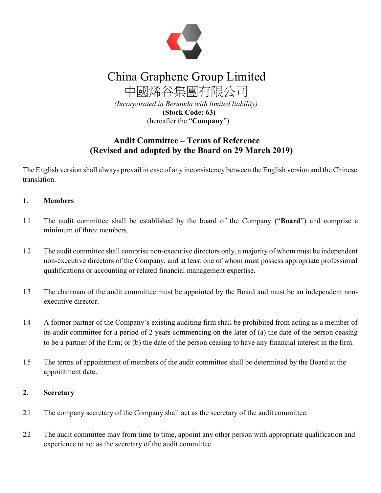

# China Graphene Group Limited

中國烯谷集團有限公司 (Incorporated in Bermuda with limited liability) (Stock Code: 63) (hereafter the "Company")

# Audit Committee – Terms of Reference (Revised and adopted by the Board on 29 March 2019)

The English version shall always prevail in case of any inconsistency between the English version and the Chinese translation.

# 1. Members

- 1.1 The audit committee shall be established by the board of the Company ("Board") and comprise a minimum of three members.
- 1.2 The audit committee shall comprise non-executive directors only, a majority of whom must be independent non-executive directors of the Company, and at least one of whom must possess appropriate professional qualifications or accounting or related financial management expertise.
- 1.3 The chairman of the audit committee must be appointed by the Board and must be an independent nonexecutive director.
- 1.4 A former partner of the Company's existing auditing firm shall be prohibited from acting as a member of its audit committee for a period of 2 years commencing on the later of (a) the date of the person ceasing to be a partner of the firm; or (b) the date of the person ceasing to have any financial interest in the firm.
- 1.5 The terms of appointment of members of the audit committee shall be determined by the Board at the appointment date.

#### 2. Secretary

- 2.1 The company secretary of the Company shall act as the secretary of the audit committee.
- 2.2 The audit committee may from time to time, appoint any other person with appropriate qualification and experience to act as the secretary of the audit committee.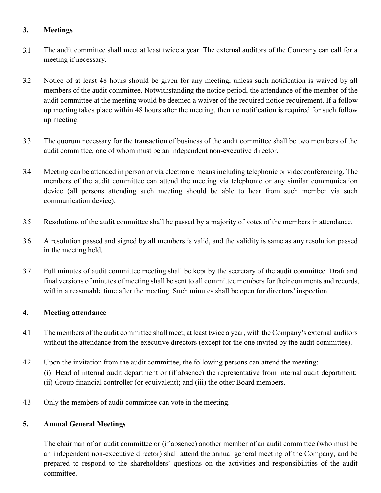## 3. Meetings

- 3.1 The audit committee shall meet at least twice a year. The external auditors of the Company can call for a meeting if necessary.
- 3.2 Notice of at least 48 hours should be given for any meeting, unless such notification is waived by all members of the audit committee. Notwithstanding the notice period, the attendance of the member of the audit committee at the meeting would be deemed a waiver of the required notice requirement. If a follow up meeting takes place within 48 hours after the meeting, then no notification is required for such follow up meeting.
- 3.3 The quorum necessary for the transaction of business of the audit committee shall be two members of the audit committee, one of whom must be an independent non-executive director.
- 3.4 Meeting can be attended in person or via electronic means including telephonic or videoconferencing. The members of the audit committee can attend the meeting via telephonic or any similar communication device (all persons attending such meeting should be able to hear from such member via such communication device).
- 3.5 Resolutions of the audit committee shall be passed by a majority of votes of the members in attendance.
- 3.6 A resolution passed and signed by all members is valid, and the validity is same as any resolution passed in the meeting held.
- 3.7 Full minutes of audit committee meeting shall be kept by the secretary of the audit committee. Draft and final versions of minutes of meeting shall be sent to all committee members for their comments and records, within a reasonable time after the meeting. Such minutes shall be open for directors' inspection.

#### 4. Meeting attendance

- 4.1 The members of the audit committee shall meet, at least twice a year, with the Company's external auditors without the attendance from the executive directors (except for the one invited by the audit committee).
- 4.2 Upon the invitation from the audit committee, the following persons can attend the meeting:
	- (i) Head of internal audit department or (if absence) the representative from internal audit department;
	- (ii) Group financial controller (or equivalent); and (iii) the other Board members.
- 4.3 Only the members of audit committee can vote in the meeting.

#### 5. Annual General Meetings

The chairman of an audit committee or (if absence) another member of an audit committee (who must be an independent non-executive director) shall attend the annual general meeting of the Company, and be prepared to respond to the shareholders' questions on the activities and responsibilities of the audit committee.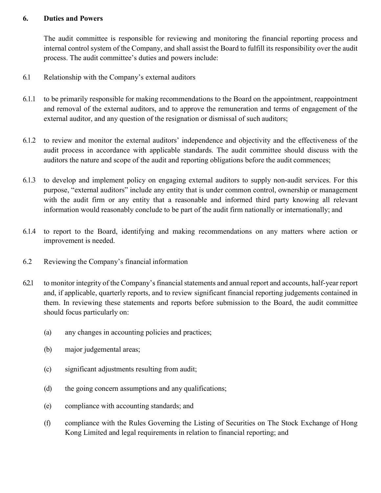#### 6. Duties and Powers

The audit committee is responsible for reviewing and monitoring the financial reporting process and internal control system of the Company, and shall assist the Board to fulfill its responsibility over the audit process. The audit committee's duties and powers include:

- 6.1 Relationship with the Company's external auditors
- 6.1.1 to be primarily responsible for making recommendations to the Board on the appointment, reappointment and removal of the external auditors, and to approve the remuneration and terms of engagement of the external auditor, and any question of the resignation or dismissal of such auditors;
- 6.1.2 to review and monitor the external auditors' independence and objectivity and the effectiveness of the audit process in accordance with applicable standards. The audit committee should discuss with the auditors the nature and scope of the audit and reporting obligations before the audit commences;
- 6.1.3 to develop and implement policy on engaging external auditors to supply non-audit services. For this purpose, "external auditors" include any entity that is under common control, ownership or management with the audit firm or any entity that a reasonable and informed third party knowing all relevant information would reasonably conclude to be part of the audit firm nationally or internationally; and
- 6.1.4 to report to the Board, identifying and making recommendations on any matters where action or improvement is needed.
- 6.2 Reviewing the Company's financial information
- 6.2.1 to monitor integrity of the Company's financial statements and annual report and accounts, half-year report and, if applicable, quarterly reports, and to review significant financial reporting judgements contained in them. In reviewing these statements and reports before submission to the Board, the audit committee should focus particularly on:
	- (a) any changes in accounting policies and practices;
	- (b) major judgemental areas;
	- (c) significant adjustments resulting from audit;
	- (d) the going concern assumptions and any qualifications;
	- (e) compliance with accounting standards; and
	- (f) compliance with the Rules Governing the Listing of Securities on The Stock Exchange of Hong Kong Limited and legal requirements in relation to financial reporting; and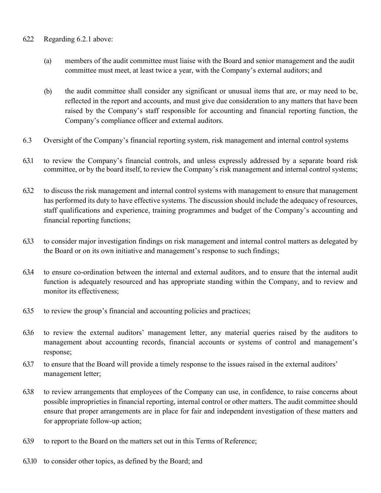#### 6.2.2 Regarding 6.2.1 above:

- (a) members of the audit committee must liaise with the Board and senior management and the audit committee must meet, at least twice a year, with the Company's external auditors; and
- (b) the audit committee shall consider any significant or unusual items that are, or may need to be, reflected in the report and accounts, and must give due consideration to any matters that have been raised by the Company's staff responsible for accounting and financial reporting function, the Company's compliance officer and external auditors.
- 6.3 Oversight of the Company's financial reporting system, risk management and internal control systems
- 6.3.1 to review the Company's financial controls, and unless expressly addressed by a separate board risk committee, or by the board itself, to review the Company's risk management and internal control systems;
- 6.3.2 to discuss the risk management and internal control systems with management to ensure that management has performed its duty to have effective systems. The discussion should include the adequacy of resources, staff qualifications and experience, training programmes and budget of the Company's accounting and financial reporting functions;
- 6.3.3 to consider major investigation findings on risk management and internal control matters as delegated by the Board or on its own initiative and management's response to such findings;
- 6.3.4 to ensure co-ordination between the internal and external auditors, and to ensure that the internal audit function is adequately resourced and has appropriate standing within the Company, and to review and monitor its effectiveness;
- 6.3.5 to review the group's financial and accounting policies and practices;
- 6.3.6 to review the external auditors' management letter, any material queries raised by the auditors to management about accounting records, financial accounts or systems of control and management's response;
- 6.3.7 to ensure that the Board will provide a timely response to the issues raised in the external auditors' management letter;
- 6.3.8 to review arrangements that employees of the Company can use, in confidence, to raise concerns about possible improprieties in financial reporting, internal control or other matters. The audit committee should ensure that proper arrangements are in place for fair and independent investigation of these matters and for appropriate follow-up action;
- 6.3.9 to report to the Board on the matters set out in this Terms of Reference;
- 6.3.10 to consider other topics, as defined by the Board; and